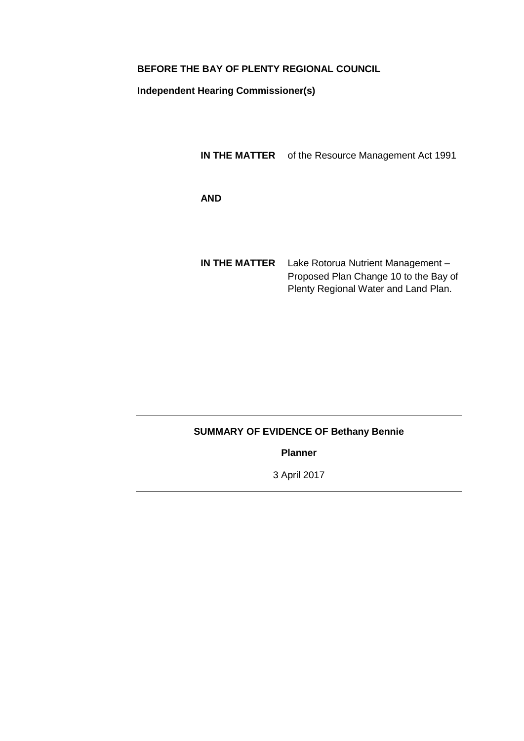# **BEFORE THE BAY OF PLENTY REGIONAL COUNCIL**

**Independent Hearing Commissioner(s)**

**IN THE MATTER** of the Resource Management Act 1991

**AND**

**IN THE MATTER** Lake Rotorua Nutrient Management – Proposed Plan Change 10 to the Bay of Plenty Regional Water and Land Plan.

# **SUMMARY OF EVIDENCE OF Bethany Bennie**

**Planner**

3 April 2017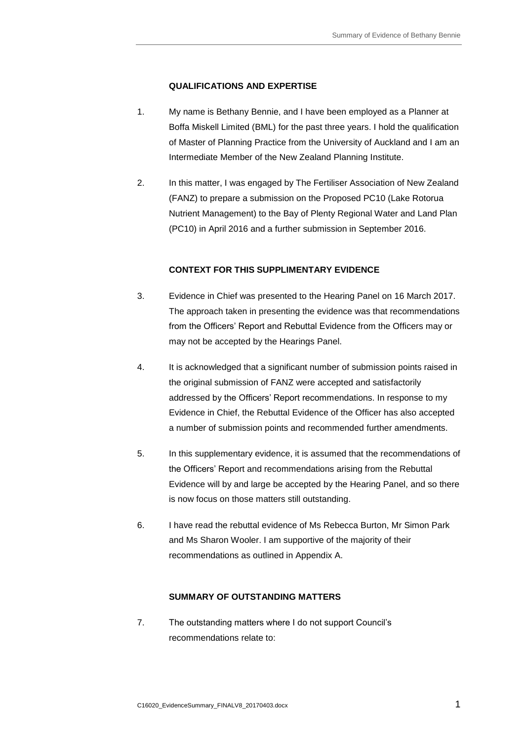# **QUALIFICATIONS AND EXPERTISE**

- 1. My name is Bethany Bennie, and I have been employed as a Planner at Boffa Miskell Limited (BML) for the past three years. I hold the qualification of Master of Planning Practice from the University of Auckland and I am an Intermediate Member of the New Zealand Planning Institute.
- 2. In this matter, I was engaged by The Fertiliser Association of New Zealand (FANZ) to prepare a submission on the Proposed PC10 (Lake Rotorua Nutrient Management) to the Bay of Plenty Regional Water and Land Plan (PC10) in April 2016 and a further submission in September 2016.

# **CONTEXT FOR THIS SUPPLIMENTARY EVIDENCE**

- 3. Evidence in Chief was presented to the Hearing Panel on 16 March 2017. The approach taken in presenting the evidence was that recommendations from the Officers' Report and Rebuttal Evidence from the Officers may or may not be accepted by the Hearings Panel.
- 4. It is acknowledged that a significant number of submission points raised in the original submission of FANZ were accepted and satisfactorily addressed by the Officers' Report recommendations. In response to my Evidence in Chief, the Rebuttal Evidence of the Officer has also accepted a number of submission points and recommended further amendments.
- 5. In this supplementary evidence, it is assumed that the recommendations of the Officers' Report and recommendations arising from the Rebuttal Evidence will by and large be accepted by the Hearing Panel, and so there is now focus on those matters still outstanding.
- 6. I have read the rebuttal evidence of Ms Rebecca Burton, Mr Simon Park and Ms Sharon Wooler. I am supportive of the majority of their recommendations as outlined in Appendix A.

### **SUMMARY OF OUTSTANDING MATTERS**

7. The outstanding matters where I do not support Council's recommendations relate to: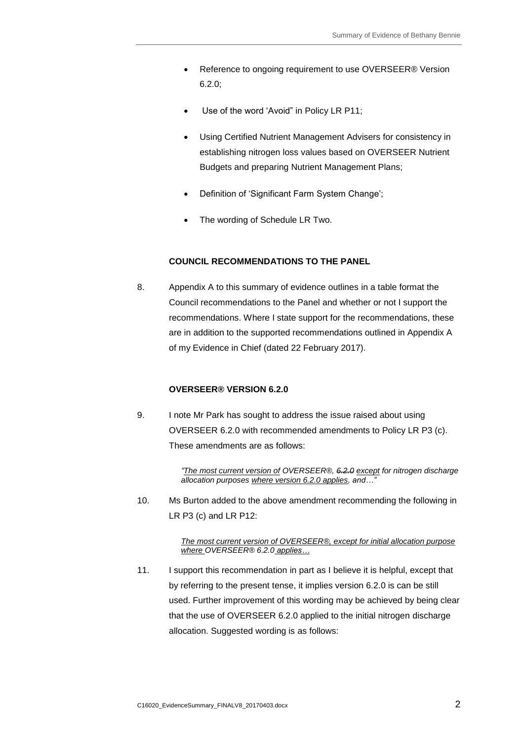- Reference to ongoing requirement to use OVERSEER® Version 6.2.0;
- Use of the word 'Avoid" in Policy LR P11;
- Using Certified Nutrient Management Advisers for consistency in establishing nitrogen loss values based on OVERSEER Nutrient Budgets and preparing Nutrient Management Plans;
- Definition of 'Significant Farm System Change';
- The wording of Schedule LR Two.

#### **COUNCIL RECOMMENDATIONS TO THE PANEL**

8. Appendix A to this summary of evidence outlines in a table format the Council recommendations to the Panel and whether or not I support the recommendations. Where I state support for the recommendations, these are in addition to the supported recommendations outlined in Appendix A of my Evidence in Chief (dated 22 February 2017).

# **OVERSEER® VERSION 6.2.0**

9. I note Mr Park has sought to address the issue raised about using OVERSEER 6.2.0 with recommended amendments to Policy LR P3 (c). These amendments are as follows:

> *"The most current version of OVERSEER®, 6.2.0 except for nitrogen discharge allocation purposes where version 6.2.0 applies, and…"*

10. Ms Burton added to the above amendment recommending the following in LR P3 (c) and LR P12:

#### *The most current version of OVERSEER®, except for initial allocation purpose where OVERSEER® 6.2.0 applies…*

11. I support this recommendation in part as I believe it is helpful, except that by referring to the present tense, it implies version 6.2.0 is can be still used. Further improvement of this wording may be achieved by being clear that the use of OVERSEER 6.2.0 applied to the initial nitrogen discharge allocation. Suggested wording is as follows: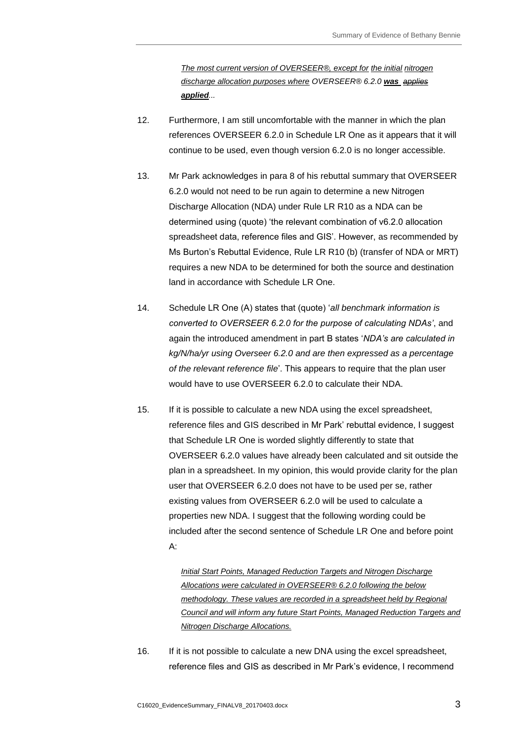*The most current version of OVERSEER®, except for the initial nitrogen discharge allocation purposes where OVERSEER® 6.2.0 was applies applied...*

- 12. Furthermore, I am still uncomfortable with the manner in which the plan references OVERSEER 6.2.0 in Schedule LR One as it appears that it will continue to be used, even though version 6.2.0 is no longer accessible.
- 13. Mr Park acknowledges in para 8 of his rebuttal summary that OVERSEER 6.2.0 would not need to be run again to determine a new Nitrogen Discharge Allocation (NDA) under Rule LR R10 as a NDA can be determined using (quote) 'the relevant combination of v6.2.0 allocation spreadsheet data, reference files and GIS'. However, as recommended by Ms Burton's Rebuttal Evidence, Rule LR R10 (b) (transfer of NDA or MRT) requires a new NDA to be determined for both the source and destination land in accordance with Schedule LR One.
- 14. Schedule LR One (A) states that (quote) '*all benchmark information is converted to OVERSEER 6.2.0 for the purpose of calculating NDAs'*, and again the introduced amendment in part B states '*NDA's are calculated in kg/N/ha/yr using Overseer 6.2.0 and are then expressed as a percentage of the relevant reference file*'. This appears to require that the plan user would have to use OVERSEER 6.2.0 to calculate their NDA.
- 15. If it is possible to calculate a new NDA using the excel spreadsheet, reference files and GIS described in Mr Park' rebuttal evidence, I suggest that Schedule LR One is worded slightly differently to state that OVERSEER 6.2.0 values have already been calculated and sit outside the plan in a spreadsheet. In my opinion, this would provide clarity for the plan user that OVERSEER 6.2.0 does not have to be used per se, rather existing values from OVERSEER 6.2.0 will be used to calculate a properties new NDA. I suggest that the following wording could be included after the second sentence of Schedule LR One and before point A:

*Initial Start Points, Managed Reduction Targets and Nitrogen Discharge Allocations were calculated in OVERSEER® 6.2.0 following the below methodology. These values are recorded in a spreadsheet held by Regional Council and will inform any future Start Points, Managed Reduction Targets and Nitrogen Discharge Allocations.* 

16. If it is not possible to calculate a new DNA using the excel spreadsheet, reference files and GIS as described in Mr Park's evidence, I recommend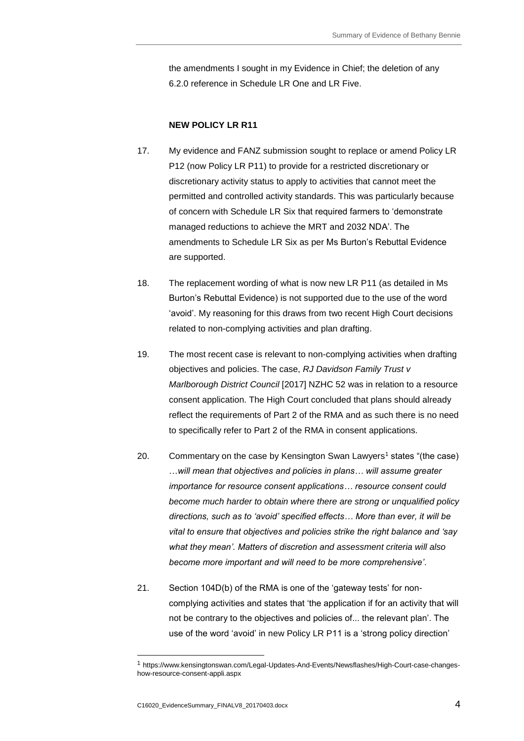the amendments I sought in my Evidence in Chief; the deletion of any 6.2.0 reference in Schedule LR One and LR Five.

# **NEW POLICY LR R11**

- 17. My evidence and FANZ submission sought to replace or amend Policy LR P12 (now Policy LR P11) to provide for a restricted discretionary or discretionary activity status to apply to activities that cannot meet the permitted and controlled activity standards. This was particularly because of concern with Schedule LR Six that required farmers to 'demonstrate managed reductions to achieve the MRT and 2032 NDA'. The amendments to Schedule LR Six as per Ms Burton's Rebuttal Evidence are supported.
- 18. The replacement wording of what is now new LR P11 (as detailed in Ms Burton's Rebuttal Evidence) is not supported due to the use of the word 'avoid'. My reasoning for this draws from two recent High Court decisions related to non-complying activities and plan drafting.
- 19. The most recent case is relevant to non-complying activities when drafting objectives and policies. The case, *RJ Davidson Family Trust v Marlborough District Council* [2017] NZHC 52 was in relation to a resource consent application. The High Court concluded that plans should already reflect the requirements of Part 2 of the RMA and as such there is no need to specifically refer to Part 2 of the RMA in consent applications.
- 20. Commentary on the case by Kensington Swan Lawyers<sup>1</sup> states "(the case) …*will mean that objectives and policies in plans… will assume greater importance for resource consent applications… resource consent could become much harder to obtain where there are strong or unqualified policy directions, such as to 'avoid' specified effects… More than ever, it will be vital to ensure that objectives and policies strike the right balance and 'say what they mean'. Matters of discretion and assessment criteria will also become more important and will need to be more comprehensive'*.
- 21. Section 104D(b) of the RMA is one of the 'gateway tests' for noncomplying activities and states that 'the application if for an activity that will not be contrary to the objectives and policies of... the relevant plan'. The use of the word 'avoid' in new Policy LR P11 is a 'strong policy direction'

-

<sup>1</sup> https://www.kensingtonswan.com/Legal-Updates-And-Events/Newsflashes/High-Court-case-changeshow-resource-consent-appli.aspx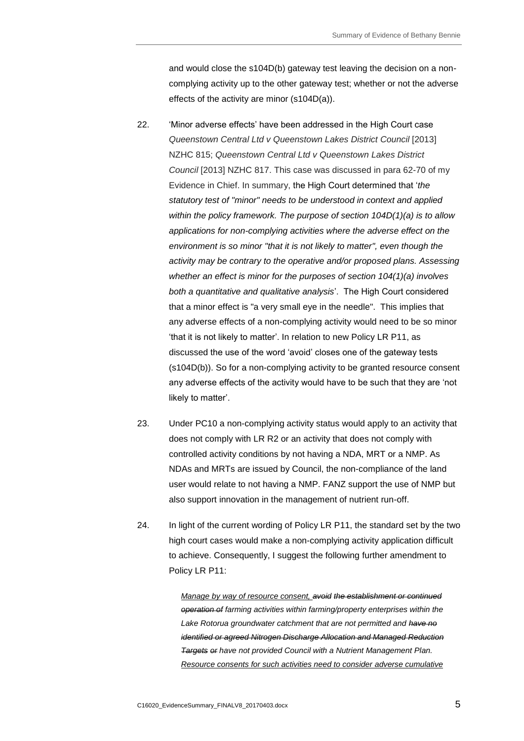and would close the s104D(b) gateway test leaving the decision on a noncomplying activity up to the other gateway test; whether or not the adverse effects of the activity are minor (s104D(a)).

- 22. 'Minor adverse effects' have been addressed in the High Court case *Queenstown Central Ltd v Queenstown Lakes District Council* [2013] NZHC 815; *Queenstown Central Ltd v Queenstown Lakes District Council* [2013] NZHC 817. This case was discussed in para 62-70 of my Evidence in Chief. In summary, the High Court determined that '*the statutory test of "minor" needs to be understood in context and applied within the policy framework. The purpose of section 104D(1)(a) is to allow applications for non-complying activities where the adverse effect on the environment is so minor "that it is not likely to matter", even though the activity may be contrary to the operative and/or proposed plans. Assessing whether an effect is minor for the purposes of section 104(1)(a) involves both a quantitative and qualitative analysis*'. The High Court considered that a minor effect is "a very small eye in the needle". This implies that any adverse effects of a non-complying activity would need to be so minor 'that it is not likely to matter'. In relation to new Policy LR P11, as discussed the use of the word 'avoid' closes one of the gateway tests (s104D(b)). So for a non-complying activity to be granted resource consent any adverse effects of the activity would have to be such that they are 'not likely to matter'.
- 23. Under PC10 a non-complying activity status would apply to an activity that does not comply with LR R2 or an activity that does not comply with controlled activity conditions by not having a NDA, MRT or a NMP. As NDAs and MRTs are issued by Council, the non-compliance of the land user would relate to not having a NMP. FANZ support the use of NMP but also support innovation in the management of nutrient run-off.
- 24. In light of the current wording of Policy LR P11, the standard set by the two high court cases would make a non-complying activity application difficult to achieve. Consequently, I suggest the following further amendment to Policy LR P11:

*Manage by way of resource consent, avoid the establishment or continued operation of farming activities within farming/property enterprises within the Lake Rotorua groundwater catchment that are not permitted and have no identified or agreed Nitrogen Discharge Allocation and Managed Reduction Targets or have not provided Council with a Nutrient Management Plan. Resource consents for such activities need to consider adverse cumulative*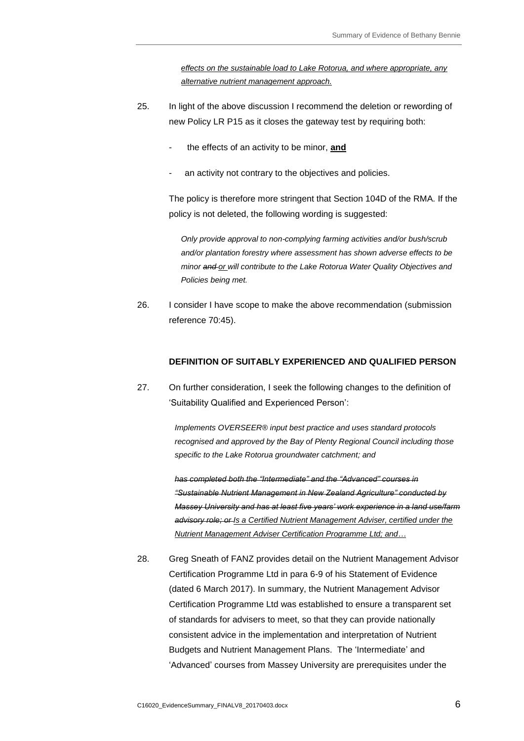*effects on the sustainable load to Lake Rotorua, and where appropriate, any alternative nutrient management approach.*

- 25. In light of the above discussion I recommend the deletion or rewording of new Policy LR P15 as it closes the gateway test by requiring both:
	- the effects of an activity to be minor, and
	- an activity not contrary to the objectives and policies.

The policy is therefore more stringent that Section 104D of the RMA. If the policy is not deleted, the following wording is suggested:

*Only provide approval to non-complying farming activities and/or bush/scrub and/or plantation forestry where assessment has shown adverse effects to be minor and or will contribute to the Lake Rotorua Water Quality Objectives and Policies being met.* 

26. I consider I have scope to make the above recommendation (submission reference 70:45).

#### **DEFINITION OF SUITABLY EXPERIENCED AND QUALIFIED PERSON**

27. On further consideration, I seek the following changes to the definition of 'Suitability Qualified and Experienced Person':

> *Implements OVERSEER® input best practice and uses standard protocols recognised and approved by the Bay of Plenty Regional Council including those specific to the Lake Rotorua groundwater catchment; and*

*has completed both the "Intermediate" and the "Advanced" courses in "Sustainable Nutrient Management in New Zealand Agriculture" conducted by Massey University and has at least five years' work experience in a land use/farm advisory role; or Is a Certified Nutrient Management Adviser, certified under the Nutrient Management Adviser Certification Programme Ltd; and…*

28. Greg Sneath of FANZ provides detail on the Nutrient Management Advisor Certification Programme Ltd in para 6-9 of his Statement of Evidence (dated 6 March 2017). In summary, the Nutrient Management Advisor Certification Programme Ltd was established to ensure a transparent set of standards for advisers to meet, so that they can provide nationally consistent advice in the implementation and interpretation of Nutrient Budgets and Nutrient Management Plans. The 'Intermediate' and 'Advanced' courses from Massey University are prerequisites under the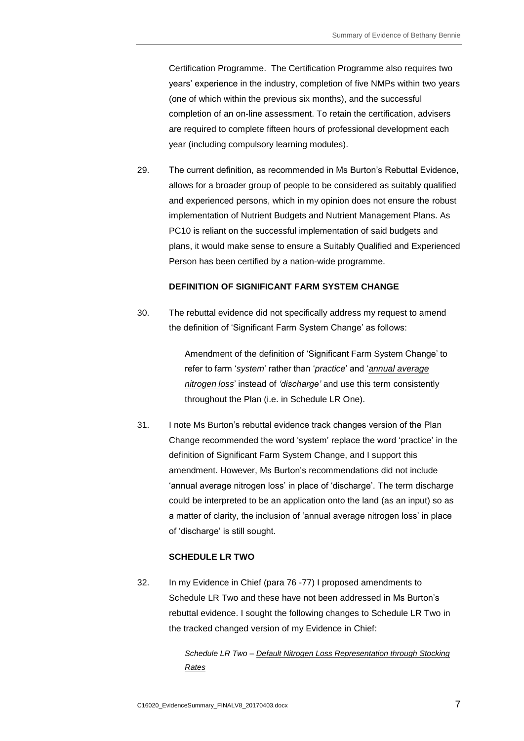Certification Programme. The Certification Programme also requires two years' experience in the industry, completion of five NMPs within two years (one of which within the previous six months), and the successful completion of an on-line assessment. To retain the certification, advisers are required to complete fifteen hours of professional development each year (including compulsory learning modules).

29. The current definition, as recommended in Ms Burton's Rebuttal Evidence, allows for a broader group of people to be considered as suitably qualified and experienced persons, which in my opinion does not ensure the robust implementation of Nutrient Budgets and Nutrient Management Plans. As PC10 is reliant on the successful implementation of said budgets and plans, it would make sense to ensure a Suitably Qualified and Experienced Person has been certified by a nation-wide programme.

#### **DEFINITION OF SIGNIFICANT FARM SYSTEM CHANGE**

30. The rebuttal evidence did not specifically address my request to amend the definition of 'Significant Farm System Change' as follows:

> Amendment of the definition of 'Significant Farm System Change' to refer to farm '*system*' rather than '*practice*' and '*annual average nitrogen loss*' instead of *'discharge'* and use this term consistently throughout the Plan (i.e. in Schedule LR One).

31. I note Ms Burton's rebuttal evidence track changes version of the Plan Change recommended the word 'system' replace the word 'practice' in the definition of Significant Farm System Change, and I support this amendment. However, Ms Burton's recommendations did not include 'annual average nitrogen loss' in place of 'discharge'. The term discharge could be interpreted to be an application onto the land (as an input) so as a matter of clarity, the inclusion of 'annual average nitrogen loss' in place of 'discharge' is still sought.

# **SCHEDULE LR TWO**

32. In my Evidence in Chief (para 76 -77) I proposed amendments to Schedule LR Two and these have not been addressed in Ms Burton's rebuttal evidence. I sought the following changes to Schedule LR Two in the tracked changed version of my Evidence in Chief:

> *Schedule LR Two – Default Nitrogen Loss Representation through Stocking Rates*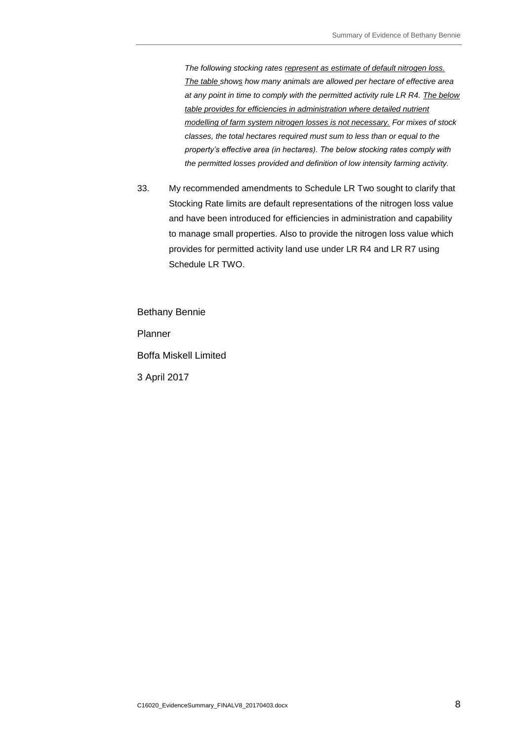*The following stocking rates represent as estimate of default nitrogen loss. The table shows how many animals are allowed per hectare of effective area at any point in time to comply with the permitted activity rule LR R4. The below table provides for efficiencies in administration where detailed nutrient modelling of farm system nitrogen losses is not necessary. For mixes of stock classes, the total hectares required must sum to less than or equal to the property's effective area (in hectares). The below stocking rates comply with the permitted losses provided and definition of low intensity farming activity.* 

33. My recommended amendments to Schedule LR Two sought to clarify that Stocking Rate limits are default representations of the nitrogen loss value and have been introduced for efficiencies in administration and capability to manage small properties. Also to provide the nitrogen loss value which provides for permitted activity land use under LR R4 and LR R7 using Schedule LR TWO.

Bethany Bennie Planner Boffa Miskell Limited 3 April 2017